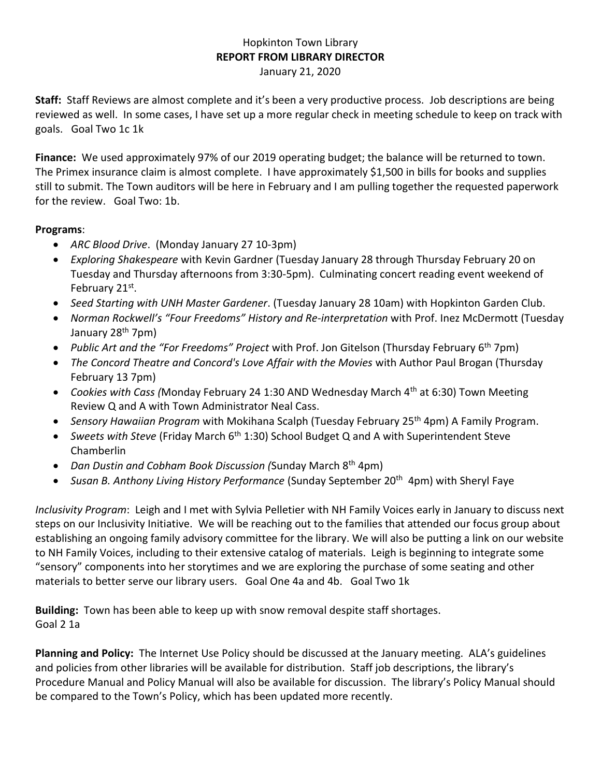## Hopkinton Town Library **REPORT FROM LIBRARY DIRECTOR**

January 21, 2020

**Staff:** Staff Reviews are almost complete and it's been a very productive process. Job descriptions are being reviewed as well. In some cases, I have set up a more regular check in meeting schedule to keep on track with goals. Goal Two 1c 1k

**Finance:** We used approximately 97% of our 2019 operating budget; the balance will be returned to town. The Primex insurance claim is almost complete. I have approximately \$1,500 in bills for books and supplies still to submit. The Town auditors will be here in February and I am pulling together the requested paperwork for the review. Goal Two: 1b.

## **Programs**:

- *ARC Blood Drive*. (Monday January 27 10-3pm)
- *Exploring Shakespeare* with Kevin Gardner (Tuesday January 28 through Thursday February 20 on Tuesday and Thursday afternoons from 3:30-5pm). Culminating concert reading event weekend of February 21st.
- *Seed Starting with UNH Master Gardener*. (Tuesday January 28 10am) with Hopkinton Garden Club.
- *Norman Rockwell's "Four Freedoms" History and Re-interpretation* with Prof. Inez McDermott (Tuesday January 28<sup>th</sup> 7pm)
- *Public Art and the "For Freedoms" Project* with Prof. Jon Gitelson (Thursday February 6th 7pm)
- *The Concord Theatre and Concord's Love Affair with the Movies* with Author Paul Brogan (Thursday February 13 7pm)
- *Cookies with Cass (Monday February 24 1:30 AND Wednesday March 4<sup>th</sup> at 6:30) Town Meeting* Review Q and A with Town Administrator Neal Cass.
- *Sensory Hawaiian Program* with Mokihana Scalph (Tuesday February 25<sup>th</sup> 4pm) A Family Program.
- Sweets with Steve (Friday March 6<sup>th</sup> 1:30) School Budget Q and A with Superintendent Steve Chamberlin
- *Dan Dustin and Cobham Book Discussion (*Sunday March 8th 4pm)
- Susan B. Anthony Living History Performance (Sunday September 20<sup>th</sup> 4pm) with Sheryl Faye

*Inclusivity Program*: Leigh and I met with Sylvia Pelletier with NH Family Voices early in January to discuss next steps on our Inclusivity Initiative. We will be reaching out to the families that attended our focus group about establishing an ongoing family advisory committee for the library. We will also be putting a link on our website to NH Family Voices, including to their extensive catalog of materials. Leigh is beginning to integrate some "sensory" components into her storytimes and we are exploring the purchase of some seating and other materials to better serve our library users. Goal One 4a and 4b. Goal Two 1k

**Building:** Town has been able to keep up with snow removal despite staff shortages. Goal 2 1a

**Planning and Policy:** The Internet Use Policy should be discussed at the January meeting. ALA's guidelines and policies from other libraries will be available for distribution. Staff job descriptions, the library's Procedure Manual and Policy Manual will also be available for discussion. The library's Policy Manual should be compared to the Town's Policy, which has been updated more recently.